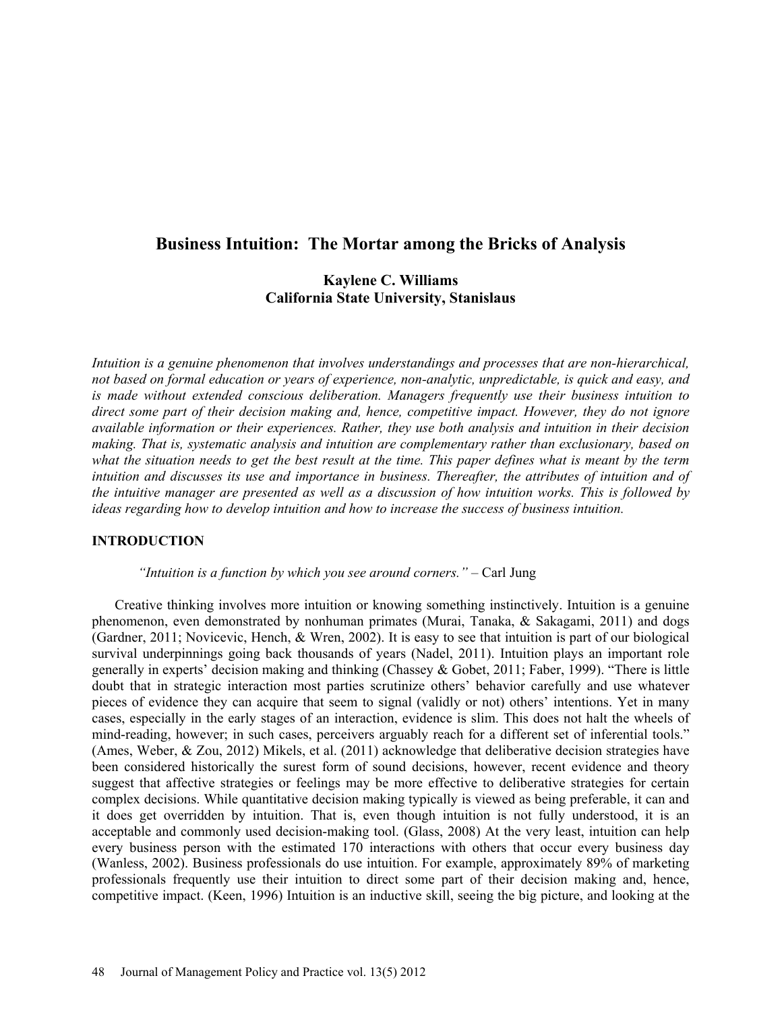# **Business Intuition: The Mortar among the Bricks of Analysis**

# **Kaylene C. Williams California State University, Stanislaus**

*Intuition is a genuine phenomenon that involves understandings and processes that are non-hierarchical, not based on formal education or years of experience, non-analytic, unpredictable, is quick and easy, and is made without extended conscious deliberation. Managers frequently use their business intuition to direct some part of their decision making and, hence, competitive impact. However, they do not ignore available information or their experiences. Rather, they use both analysis and intuition in their decision making. That is, systematic analysis and intuition are complementary rather than exclusionary, based on what the situation needs to get the best result at the time. This paper defines what is meant by the term intuition and discusses its use and importance in business. Thereafter, the attributes of intuition and of the intuitive manager are presented as well as a discussion of how intuition works. This is followed by ideas regarding how to develop intuition and how to increase the success of business intuition.* 

### **INTRODUCTION**

*"Intuition is a function by which you see around corners." –* Carl Jung

Creative thinking involves more intuition or knowing something instinctively. Intuition is a genuine phenomenon, even demonstrated by nonhuman primates (Murai, Tanaka, & Sakagami, 2011) and dogs (Gardner, 2011; Novicevic, Hench, & Wren, 2002). It is easy to see that intuition is part of our biological survival underpinnings going back thousands of years (Nadel, 2011). Intuition plays an important role generally in experts' decision making and thinking (Chassey & Gobet, 2011; Faber, 1999). "There is little doubt that in strategic interaction most parties scrutinize others' behavior carefully and use whatever pieces of evidence they can acquire that seem to signal (validly or not) others' intentions. Yet in many cases, especially in the early stages of an interaction, evidence is slim. This does not halt the wheels of mind-reading, however; in such cases, perceivers arguably reach for a different set of inferential tools." (Ames, Weber, & Zou, 2012) Mikels, et al. (2011) acknowledge that deliberative decision strategies have been considered historically the surest form of sound decisions, however, recent evidence and theory suggest that affective strategies or feelings may be more effective to deliberative strategies for certain complex decisions. While quantitative decision making typically is viewed as being preferable, it can and it does get overridden by intuition. That is, even though intuition is not fully understood, it is an acceptable and commonly used decision-making tool. (Glass, 2008) At the very least, intuition can help every business person with the estimated 170 interactions with others that occur every business day (Wanless, 2002). Business professionals do use intuition. For example, approximately 89% of marketing professionals frequently use their intuition to direct some part of their decision making and, hence, competitive impact. (Keen, 1996) Intuition is an inductive skill, seeing the big picture, and looking at the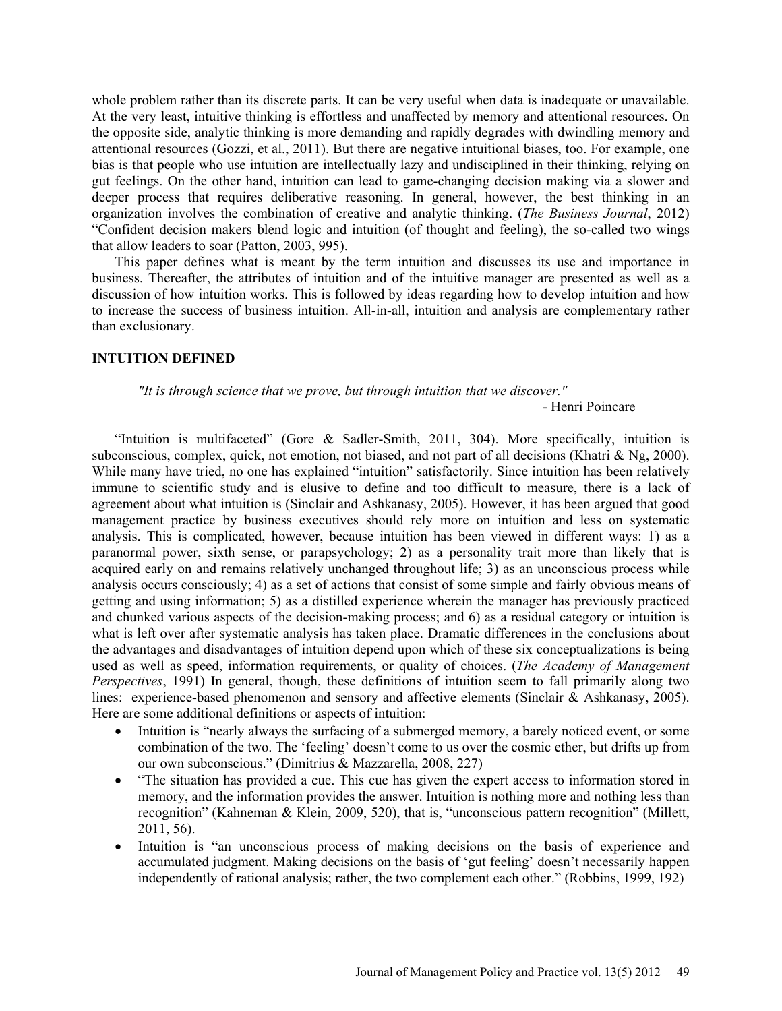whole problem rather than its discrete parts. It can be very useful when data is inadequate or unavailable. At the very least, intuitive thinking is effortless and unaffected by memory and attentional resources. On the opposite side, analytic thinking is more demanding and rapidly degrades with dwindling memory and attentional resources (Gozzi, et al., 2011). But there are negative intuitional biases, too. For example, one bias is that people who use intuition are intellectually lazy and undisciplined in their thinking, relying on gut feelings. On the other hand, intuition can lead to game-changing decision making via a slower and deeper process that requires deliberative reasoning. In general, however, the best thinking in an organization involves the combination of creative and analytic thinking. (*The Business Journal*, 2012) "Confident decision makers blend logic and intuition (of thought and feeling), the so-called two wings that allow leaders to soar (Patton, 2003, 995).

This paper defines what is meant by the term intuition and discusses its use and importance in business. Thereafter, the attributes of intuition and of the intuitive manager are presented as well as a discussion of how intuition works. This is followed by ideas regarding how to develop intuition and how to increase the success of business intuition. All-in-all, intuition and analysis are complementary rather than exclusionary.

#### **INTUITION DEFINED**

*"It is through science that we prove, but through intuition that we discover."* 

- Henri Poincare

"Intuition is multifaceted" (Gore & Sadler-Smith, 2011, 304). More specifically, intuition is subconscious, complex, quick, not emotion, not biased, and not part of all decisions (Khatri & Ng, 2000). While many have tried, no one has explained "intuition" satisfactorily. Since intuition has been relatively immune to scientific study and is elusive to define and too difficult to measure, there is a lack of agreement about what intuition is (Sinclair and Ashkanasy, 2005). However, it has been argued that good management practice by business executives should rely more on intuition and less on systematic analysis. This is complicated, however, because intuition has been viewed in different ways: 1) as a paranormal power, sixth sense, or parapsychology; 2) as a personality trait more than likely that is acquired early on and remains relatively unchanged throughout life; 3) as an unconscious process while analysis occurs consciously; 4) as a set of actions that consist of some simple and fairly obvious means of getting and using information; 5) as a distilled experience wherein the manager has previously practiced and chunked various aspects of the decision-making process; and 6) as a residual category or intuition is what is left over after systematic analysis has taken place. Dramatic differences in the conclusions about the advantages and disadvantages of intuition depend upon which of these six conceptualizations is being used as well as speed, information requirements, or quality of choices. (*The Academy of Management Perspectives*, 1991) In general, though, these definitions of intuition seem to fall primarily along two lines: experience-based phenomenon and sensory and affective elements (Sinclair & Ashkanasy, 2005). Here are some additional definitions or aspects of intuition:

- Intuition is "nearly always the surfacing of a submerged memory, a barely noticed event, or some combination of the two. The 'feeling' doesn't come to us over the cosmic ether, but drifts up from our own subconscious." (Dimitrius & Mazzarella, 2008, 227)
- "The situation has provided a cue. This cue has given the expert access to information stored in memory, and the information provides the answer. Intuition is nothing more and nothing less than recognition" (Kahneman & Klein, 2009, 520), that is, "unconscious pattern recognition" (Millett, 2011, 56).
- Intuition is "an unconscious process of making decisions on the basis of experience and accumulated judgment. Making decisions on the basis of 'gut feeling' doesn't necessarily happen independently of rational analysis; rather, the two complement each other." (Robbins, 1999, 192)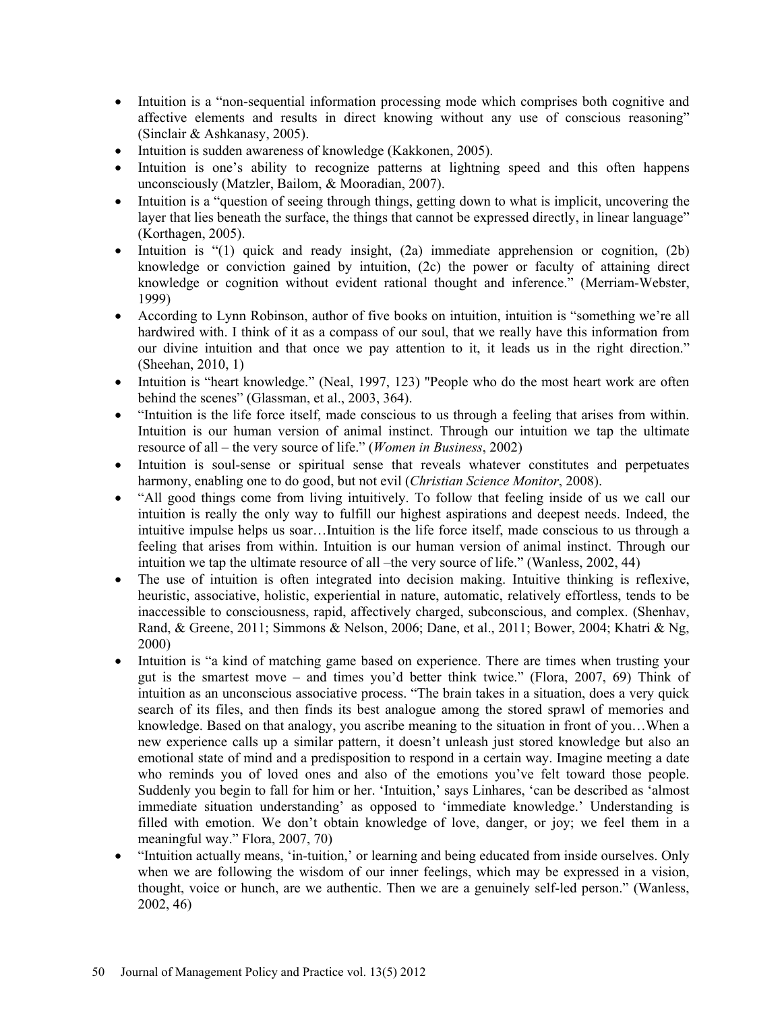- Intuition is a "non-sequential information processing mode which comprises both cognitive and affective elements and results in direct knowing without any use of conscious reasoning" (Sinclair & Ashkanasy, 2005).
- Intuition is sudden awareness of knowledge (Kakkonen, 2005).
- Intuition is one's ability to recognize patterns at lightning speed and this often happens unconsciously (Matzler, Bailom, & Mooradian, 2007).
- Intuition is a "question of seeing through things, getting down to what is implicit, uncovering the layer that lies beneath the surface, the things that cannot be expressed directly, in linear language" (Korthagen, 2005).
- Intuition is "(1) quick and ready insight, (2a) immediate apprehension or cognition, (2b) knowledge or conviction gained by intuition, (2c) the power or faculty of attaining direct knowledge or cognition without evident rational thought and inference." (Merriam-Webster, 1999)
- According to Lynn Robinson, author of five books on intuition, intuition is "something we're all hardwired with. I think of it as a compass of our soul, that we really have this information from our divine intuition and that once we pay attention to it, it leads us in the right direction." (Sheehan, 2010, 1)
- Intuition is "heart knowledge." (Neal, 1997, 123) "People who do the most heart work are often behind the scenes" (Glassman, et al., 2003, 364).
- "Intuition is the life force itself, made conscious to us through a feeling that arises from within. Intuition is our human version of animal instinct. Through our intuition we tap the ultimate resource of all – the very source of life." (*Women in Business*, 2002)
- Intuition is soul-sense or spiritual sense that reveals whatever constitutes and perpetuates harmony, enabling one to do good, but not evil (*Christian Science Monitor*, 2008).
- "All good things come from living intuitively. To follow that feeling inside of us we call our intuition is really the only way to fulfill our highest aspirations and deepest needs. Indeed, the intuitive impulse helps us soar…Intuition is the life force itself, made conscious to us through a feeling that arises from within. Intuition is our human version of animal instinct. Through our intuition we tap the ultimate resource of all –the very source of life." (Wanless, 2002, 44)
- The use of intuition is often integrated into decision making. Intuitive thinking is reflexive, heuristic, associative, holistic, experiential in nature, automatic, relatively effortless, tends to be inaccessible to consciousness, rapid, affectively charged, subconscious, and complex. (Shenhav, Rand, & Greene, 2011; Simmons & Nelson, 2006; Dane, et al., 2011; Bower, 2004; Khatri & Ng, 2000)
- Intuition is "a kind of matching game based on experience. There are times when trusting your gut is the smartest move – and times you'd better think twice." (Flora, 2007, 69) Think of intuition as an unconscious associative process. "The brain takes in a situation, does a very quick search of its files, and then finds its best analogue among the stored sprawl of memories and knowledge. Based on that analogy, you ascribe meaning to the situation in front of you…When a new experience calls up a similar pattern, it doesn't unleash just stored knowledge but also an emotional state of mind and a predisposition to respond in a certain way. Imagine meeting a date who reminds you of loved ones and also of the emotions you've felt toward those people. Suddenly you begin to fall for him or her. 'Intuition,' says Linhares, 'can be described as 'almost immediate situation understanding' as opposed to 'immediate knowledge.' Understanding is filled with emotion. We don't obtain knowledge of love, danger, or joy; we feel them in a meaningful way." Flora, 2007, 70)
- "Intuition actually means, 'in-tuition,' or learning and being educated from inside ourselves. Only when we are following the wisdom of our inner feelings, which may be expressed in a vision, thought, voice or hunch, are we authentic. Then we are a genuinely self-led person." (Wanless, 2002, 46)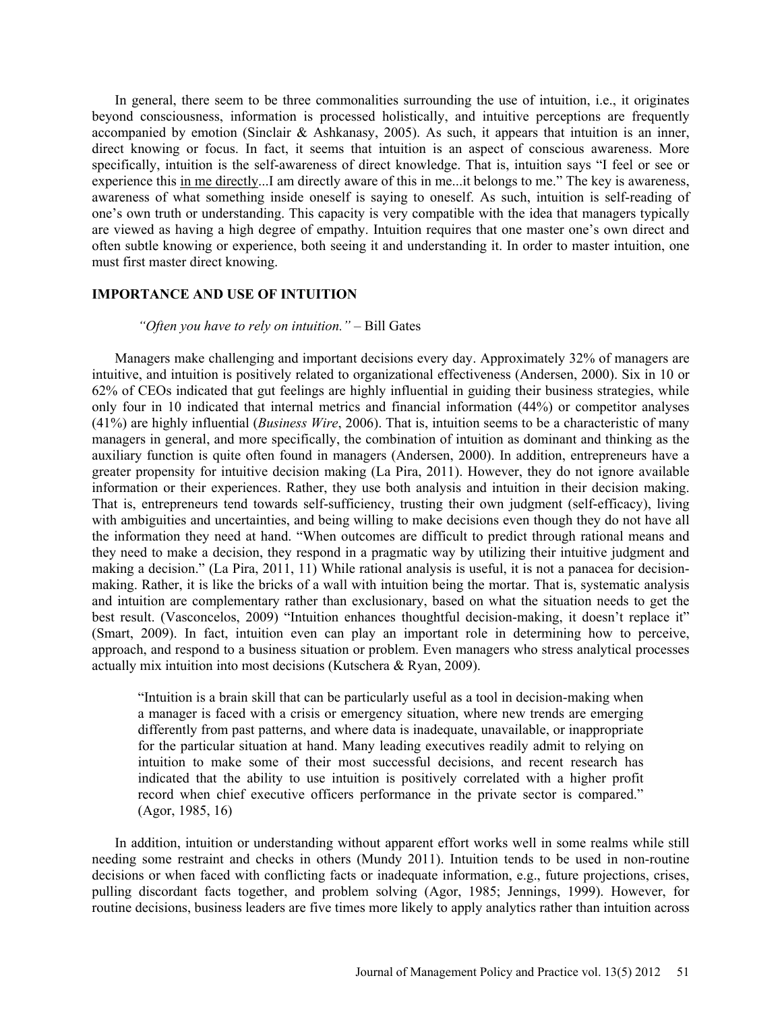In general, there seem to be three commonalities surrounding the use of intuition, i.e., it originates beyond consciousness, information is processed holistically, and intuitive perceptions are frequently accompanied by emotion (Sinclair & Ashkanasy, 2005). As such, it appears that intuition is an inner, direct knowing or focus. In fact, it seems that intuition is an aspect of conscious awareness. More specifically, intuition is the self-awareness of direct knowledge. That is, intuition says "I feel or see or experience this in me directly...I am directly aware of this in me...it belongs to me." The key is awareness, awareness of what something inside oneself is saying to oneself. As such, intuition is self-reading of one's own truth or understanding. This capacity is very compatible with the idea that managers typically are viewed as having a high degree of empathy. Intuition requires that one master one's own direct and often subtle knowing or experience, both seeing it and understanding it. In order to master intuition, one must first master direct knowing.

#### **IMPORTANCE AND USE OF INTUITION**

#### *"Often you have to rely on intuition."* – Bill Gates

Managers make challenging and important decisions every day. Approximately 32% of managers are intuitive, and intuition is positively related to organizational effectiveness (Andersen, 2000). Six in 10 or 62% of CEOs indicated that gut feelings are highly influential in guiding their business strategies, while only four in 10 indicated that internal metrics and financial information (44%) or competitor analyses (41%) are highly influential (*Business Wire*, 2006). That is, intuition seems to be a characteristic of many managers in general, and more specifically, the combination of intuition as dominant and thinking as the auxiliary function is quite often found in managers (Andersen, 2000). In addition, entrepreneurs have a greater propensity for intuitive decision making (La Pira, 2011). However, they do not ignore available information or their experiences. Rather, they use both analysis and intuition in their decision making. That is, entrepreneurs tend towards self-sufficiency, trusting their own judgment (self-efficacy), living with ambiguities and uncertainties, and being willing to make decisions even though they do not have all the information they need at hand. "When outcomes are difficult to predict through rational means and they need to make a decision, they respond in a pragmatic way by utilizing their intuitive judgment and making a decision." (La Pira, 2011, 11) While rational analysis is useful, it is not a panacea for decisionmaking. Rather, it is like the bricks of a wall with intuition being the mortar. That is, systematic analysis and intuition are complementary rather than exclusionary, based on what the situation needs to get the best result. (Vasconcelos, 2009) "Intuition enhances thoughtful decision-making, it doesn't replace it" (Smart, 2009). In fact, intuition even can play an important role in determining how to perceive, approach, and respond to a business situation or problem. Even managers who stress analytical processes actually mix intuition into most decisions (Kutschera & Ryan, 2009).

"Intuition is a brain skill that can be particularly useful as a tool in decision-making when a manager is faced with a crisis or emergency situation, where new trends are emerging differently from past patterns, and where data is inadequate, unavailable, or inappropriate for the particular situation at hand. Many leading executives readily admit to relying on intuition to make some of their most successful decisions, and recent research has indicated that the ability to use intuition is positively correlated with a higher profit record when chief executive officers performance in the private sector is compared." (Agor, 1985, 16)

In addition, intuition or understanding without apparent effort works well in some realms while still needing some restraint and checks in others (Mundy 2011). Intuition tends to be used in non-routine decisions or when faced with conflicting facts or inadequate information, e.g., future projections, crises, pulling discordant facts together, and problem solving (Agor, 1985; Jennings, 1999). However, for routine decisions, business leaders are five times more likely to apply analytics rather than intuition across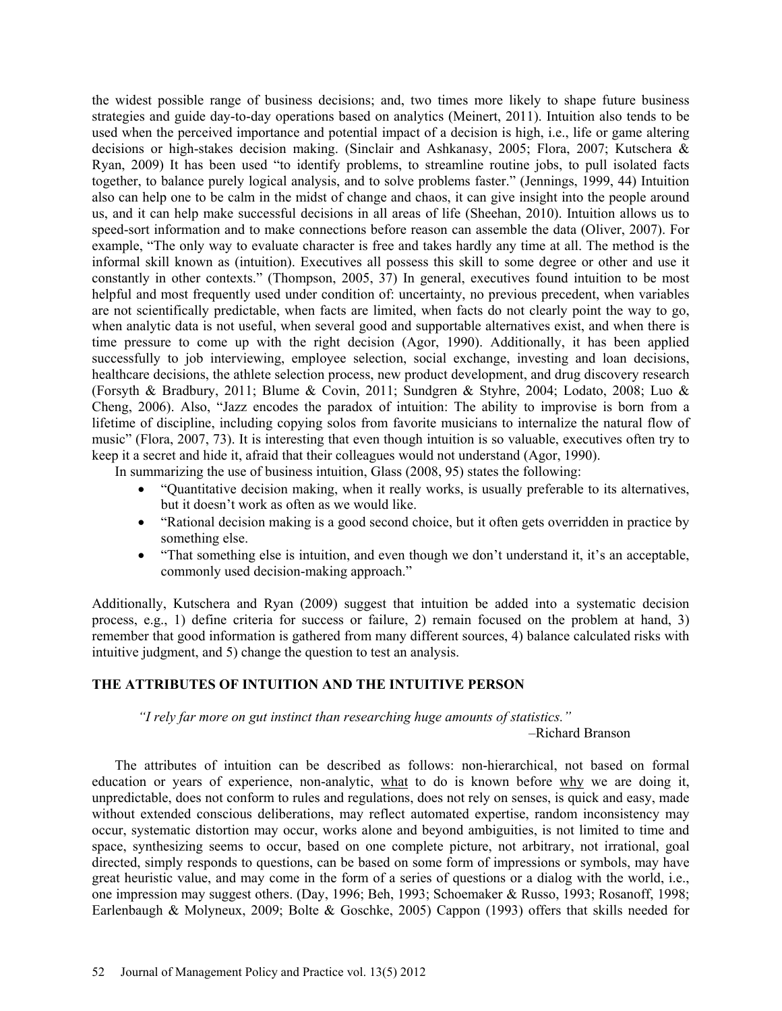the widest possible range of business decisions; and, two times more likely to shape future business strategies and guide day-to-day operations based on analytics (Meinert, 2011). Intuition also tends to be used when the perceived importance and potential impact of a decision is high, i.e., life or game altering decisions or high-stakes decision making. (Sinclair and Ashkanasy, 2005; Flora, 2007; Kutschera & Ryan, 2009) It has been used "to identify problems, to streamline routine jobs, to pull isolated facts together, to balance purely logical analysis, and to solve problems faster." (Jennings, 1999, 44) Intuition also can help one to be calm in the midst of change and chaos, it can give insight into the people around us, and it can help make successful decisions in all areas of life (Sheehan, 2010). Intuition allows us to speed-sort information and to make connections before reason can assemble the data (Oliver, 2007). For example, "The only way to evaluate character is free and takes hardly any time at all. The method is the informal skill known as (intuition). Executives all possess this skill to some degree or other and use it constantly in other contexts." (Thompson, 2005, 37) In general, executives found intuition to be most helpful and most frequently used under condition of: uncertainty, no previous precedent, when variables are not scientifically predictable, when facts are limited, when facts do not clearly point the way to go, when analytic data is not useful, when several good and supportable alternatives exist, and when there is time pressure to come up with the right decision (Agor, 1990). Additionally, it has been applied successfully to job interviewing, employee selection, social exchange, investing and loan decisions, healthcare decisions, the athlete selection process, new product development, and drug discovery research (Forsyth & Bradbury, 2011; Blume & Covin, 2011; Sundgren & Styhre, 2004; Lodato, 2008; Luo & Cheng, 2006). Also, "Jazz encodes the paradox of intuition: The ability to improvise is born from a lifetime of discipline, including copying solos from favorite musicians to internalize the natural flow of music" (Flora, 2007, 73). It is interesting that even though intuition is so valuable, executives often try to keep it a secret and hide it, afraid that their colleagues would not understand (Agor, 1990).

In summarizing the use of business intuition, Glass (2008, 95) states the following:

- "Quantitative decision making, when it really works, is usually preferable to its alternatives, but it doesn't work as often as we would like.
- "Rational decision making is a good second choice, but it often gets overridden in practice by something else.
- "That something else is intuition, and even though we don't understand it, it's an acceptable, commonly used decision-making approach."

Additionally, Kutschera and Ryan (2009) suggest that intuition be added into a systematic decision process, e.g., 1) define criteria for success or failure, 2) remain focused on the problem at hand, 3) remember that good information is gathered from many different sources, 4) balance calculated risks with intuitive judgment, and 5) change the question to test an analysis.

### **THE ATTRIBUTES OF INTUITION AND THE INTUITIVE PERSON**

*"I rely far more on gut instinct than researching huge amounts of statistics."*  –Richard Branson

The attributes of intuition can be described as follows: non-hierarchical, not based on formal education or years of experience, non-analytic, what to do is known before why we are doing it, unpredictable, does not conform to rules and regulations, does not rely on senses, is quick and easy, made without extended conscious deliberations, may reflect automated expertise, random inconsistency may occur, systematic distortion may occur, works alone and beyond ambiguities, is not limited to time and space, synthesizing seems to occur, based on one complete picture, not arbitrary, not irrational, goal directed, simply responds to questions, can be based on some form of impressions or symbols, may have great heuristic value, and may come in the form of a series of questions or a dialog with the world, i.e., one impression may suggest others. (Day, 1996; Beh, 1993; Schoemaker & Russo, 1993; Rosanoff, 1998; Earlenbaugh & Molyneux, 2009; Bolte & Goschke, 2005) Cappon (1993) offers that skills needed for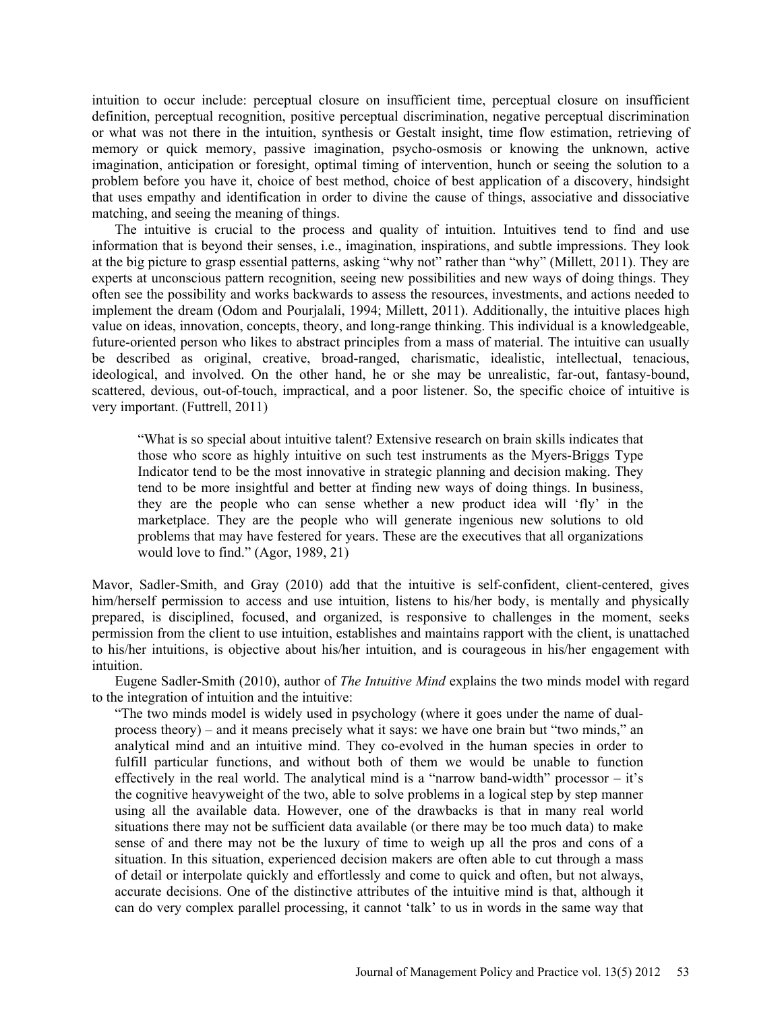intuition to occur include: perceptual closure on insufficient time, perceptual closure on insufficient definition, perceptual recognition, positive perceptual discrimination, negative perceptual discrimination or what was not there in the intuition, synthesis or Gestalt insight, time flow estimation, retrieving of memory or quick memory, passive imagination, psycho-osmosis or knowing the unknown, active imagination, anticipation or foresight, optimal timing of intervention, hunch or seeing the solution to a problem before you have it, choice of best method, choice of best application of a discovery, hindsight that uses empathy and identification in order to divine the cause of things, associative and dissociative matching, and seeing the meaning of things.

The intuitive is crucial to the process and quality of intuition. Intuitives tend to find and use information that is beyond their senses, i.e., imagination, inspirations, and subtle impressions. They look at the big picture to grasp essential patterns, asking "why not" rather than "why" (Millett, 2011). They are experts at unconscious pattern recognition, seeing new possibilities and new ways of doing things. They often see the possibility and works backwards to assess the resources, investments, and actions needed to implement the dream (Odom and Pourjalali, 1994; Millett, 2011). Additionally, the intuitive places high value on ideas, innovation, concepts, theory, and long-range thinking. This individual is a knowledgeable, future-oriented person who likes to abstract principles from a mass of material. The intuitive can usually be described as original, creative, broad-ranged, charismatic, idealistic, intellectual, tenacious, ideological, and involved. On the other hand, he or she may be unrealistic, far-out, fantasy-bound, scattered, devious, out-of-touch, impractical, and a poor listener. So, the specific choice of intuitive is very important. (Futtrell, 2011)

"What is so special about intuitive talent? Extensive research on brain skills indicates that those who score as highly intuitive on such test instruments as the Myers-Briggs Type Indicator tend to be the most innovative in strategic planning and decision making. They tend to be more insightful and better at finding new ways of doing things. In business, they are the people who can sense whether a new product idea will 'fly' in the marketplace. They are the people who will generate ingenious new solutions to old problems that may have festered for years. These are the executives that all organizations would love to find." (Agor, 1989, 21)

Mavor, Sadler-Smith, and Gray (2010) add that the intuitive is self-confident, client-centered, gives him/herself permission to access and use intuition, listens to his/her body, is mentally and physically prepared, is disciplined, focused, and organized, is responsive to challenges in the moment, seeks permission from the client to use intuition, establishes and maintains rapport with the client, is unattached to his/her intuitions, is objective about his/her intuition, and is courageous in his/her engagement with intuition.

Eugene Sadler-Smith (2010), author of *The Intuitive Mind* explains the two minds model with regard to the integration of intuition and the intuitive:

"The two minds model is widely used in psychology (where it goes under the name of dualprocess theory) – and it means precisely what it says: we have one brain but "two minds," an analytical mind and an intuitive mind. They co-evolved in the human species in order to fulfill particular functions, and without both of them we would be unable to function effectively in the real world. The analytical mind is a "narrow band-width" processor – it's the cognitive heavyweight of the two, able to solve problems in a logical step by step manner using all the available data. However, one of the drawbacks is that in many real world situations there may not be sufficient data available (or there may be too much data) to make sense of and there may not be the luxury of time to weigh up all the pros and cons of a situation. In this situation, experienced decision makers are often able to cut through a mass of detail or interpolate quickly and effortlessly and come to quick and often, but not always, accurate decisions. One of the distinctive attributes of the intuitive mind is that, although it can do very complex parallel processing, it cannot 'talk' to us in words in the same way that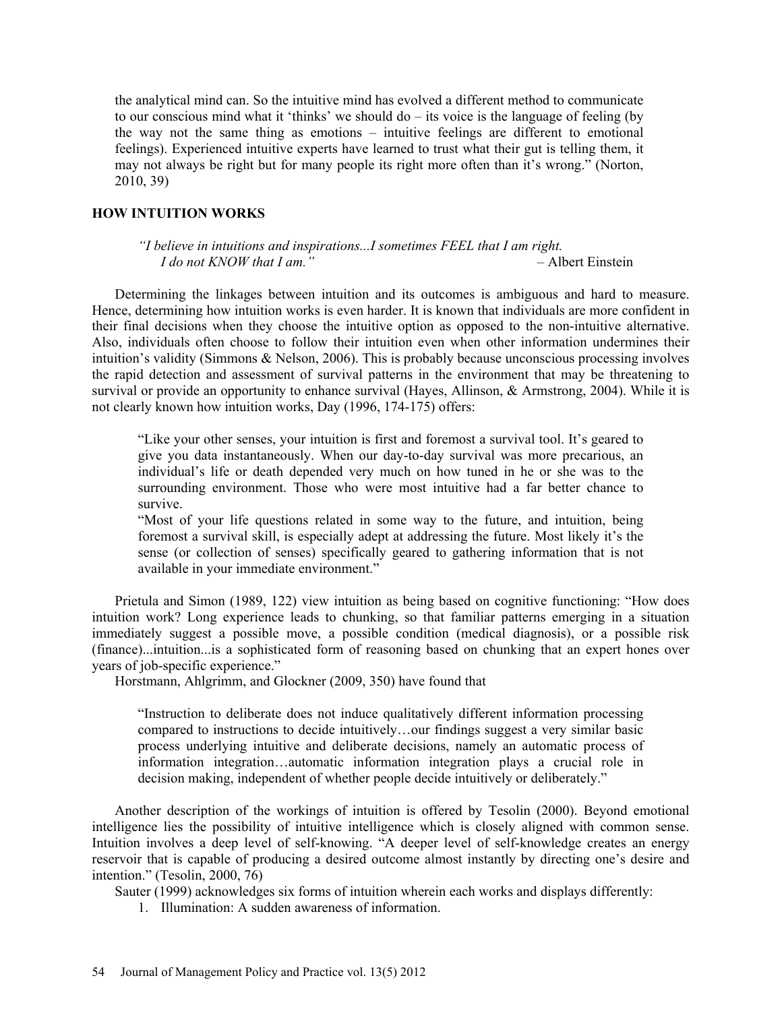the analytical mind can. So the intuitive mind has evolved a different method to communicate to our conscious mind what it 'thinks' we should do – its voice is the language of feeling (by the way not the same thing as emotions – intuitive feelings are different to emotional feelings). Experienced intuitive experts have learned to trust what their gut is telling them, it may not always be right but for many people its right more often than it's wrong." (Norton, 2010, 39)

### **HOW INTUITION WORKS**

*"I believe in intuitions and inspirations...I sometimes FEEL that I am right. I do not KNOW that I am."* – Albert Einstein

Determining the linkages between intuition and its outcomes is ambiguous and hard to measure. Hence, determining how intuition works is even harder. It is known that individuals are more confident in their final decisions when they choose the intuitive option as opposed to the non-intuitive alternative. Also, individuals often choose to follow their intuition even when other information undermines their intuition's validity (Simmons & Nelson, 2006). This is probably because unconscious processing involves the rapid detection and assessment of survival patterns in the environment that may be threatening to survival or provide an opportunity to enhance survival (Hayes, Allinson, & Armstrong, 2004). While it is not clearly known how intuition works, Day (1996, 174-175) offers:

"Like your other senses, your intuition is first and foremost a survival tool. It's geared to give you data instantaneously. When our day-to-day survival was more precarious, an individual's life or death depended very much on how tuned in he or she was to the surrounding environment. Those who were most intuitive had a far better chance to survive.

"Most of your life questions related in some way to the future, and intuition, being foremost a survival skill, is especially adept at addressing the future. Most likely it's the sense (or collection of senses) specifically geared to gathering information that is not available in your immediate environment."

Prietula and Simon (1989, 122) view intuition as being based on cognitive functioning: "How does intuition work? Long experience leads to chunking, so that familiar patterns emerging in a situation immediately suggest a possible move, a possible condition (medical diagnosis), or a possible risk (finance)...intuition...is a sophisticated form of reasoning based on chunking that an expert hones over years of job-specific experience."

Horstmann, Ahlgrimm, and Glockner (2009, 350) have found that

"Instruction to deliberate does not induce qualitatively different information processing compared to instructions to decide intuitively…our findings suggest a very similar basic process underlying intuitive and deliberate decisions, namely an automatic process of information integration…automatic information integration plays a crucial role in decision making, independent of whether people decide intuitively or deliberately."

Another description of the workings of intuition is offered by Tesolin (2000). Beyond emotional intelligence lies the possibility of intuitive intelligence which is closely aligned with common sense. Intuition involves a deep level of self-knowing. "A deeper level of self-knowledge creates an energy reservoir that is capable of producing a desired outcome almost instantly by directing one's desire and intention." (Tesolin, 2000, 76)

Sauter (1999) acknowledges six forms of intuition wherein each works and displays differently:

1. Illumination: A sudden awareness of information.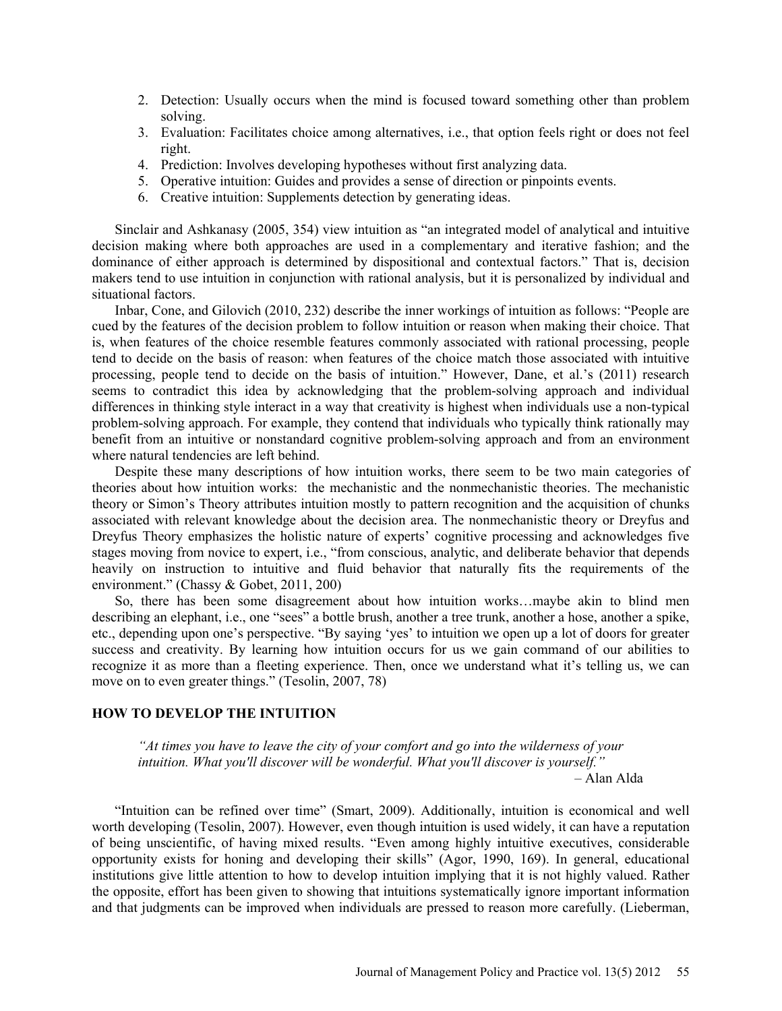- 2. Detection: Usually occurs when the mind is focused toward something other than problem solving.
- 3. Evaluation: Facilitates choice among alternatives, i.e., that option feels right or does not feel right.
- 4. Prediction: Involves developing hypotheses without first analyzing data.
- 5. Operative intuition: Guides and provides a sense of direction or pinpoints events.
- 6. Creative intuition: Supplements detection by generating ideas.

Sinclair and Ashkanasy (2005, 354) view intuition as "an integrated model of analytical and intuitive decision making where both approaches are used in a complementary and iterative fashion; and the dominance of either approach is determined by dispositional and contextual factors." That is, decision makers tend to use intuition in conjunction with rational analysis, but it is personalized by individual and situational factors.

Inbar, Cone, and Gilovich (2010, 232) describe the inner workings of intuition as follows: "People are cued by the features of the decision problem to follow intuition or reason when making their choice. That is, when features of the choice resemble features commonly associated with rational processing, people tend to decide on the basis of reason: when features of the choice match those associated with intuitive processing, people tend to decide on the basis of intuition." However, Dane, et al.'s (2011) research seems to contradict this idea by acknowledging that the problem-solving approach and individual differences in thinking style interact in a way that creativity is highest when individuals use a non-typical problem-solving approach. For example, they contend that individuals who typically think rationally may benefit from an intuitive or nonstandard cognitive problem-solving approach and from an environment where natural tendencies are left behind.

Despite these many descriptions of how intuition works, there seem to be two main categories of theories about how intuition works: the mechanistic and the nonmechanistic theories. The mechanistic theory or Simon's Theory attributes intuition mostly to pattern recognition and the acquisition of chunks associated with relevant knowledge about the decision area. The nonmechanistic theory or Dreyfus and Dreyfus Theory emphasizes the holistic nature of experts' cognitive processing and acknowledges five stages moving from novice to expert, i.e., "from conscious, analytic, and deliberate behavior that depends heavily on instruction to intuitive and fluid behavior that naturally fits the requirements of the environment." (Chassy & Gobet, 2011, 200)

So, there has been some disagreement about how intuition works…maybe akin to blind men describing an elephant, i.e., one "sees" a bottle brush, another a tree trunk, another a hose, another a spike, etc., depending upon one's perspective. "By saying 'yes' to intuition we open up a lot of doors for greater success and creativity. By learning how intuition occurs for us we gain command of our abilities to recognize it as more than a fleeting experience. Then, once we understand what it's telling us, we can move on to even greater things." (Tesolin, 2007, 78)

## **HOW TO DEVELOP THE INTUITION**

*"At times you have to leave the city of your comfort and go into the wilderness of your intuition. What you'll discover will be wonderful. What you'll discover is yourself."* – Alan Alda

"Intuition can be refined over time" (Smart, 2009). Additionally, intuition is economical and well worth developing (Tesolin, 2007). However, even though intuition is used widely, it can have a reputation of being unscientific, of having mixed results. "Even among highly intuitive executives, considerable opportunity exists for honing and developing their skills" (Agor, 1990, 169). In general, educational institutions give little attention to how to develop intuition implying that it is not highly valued. Rather the opposite, effort has been given to showing that intuitions systematically ignore important information and that judgments can be improved when individuals are pressed to reason more carefully. (Lieberman,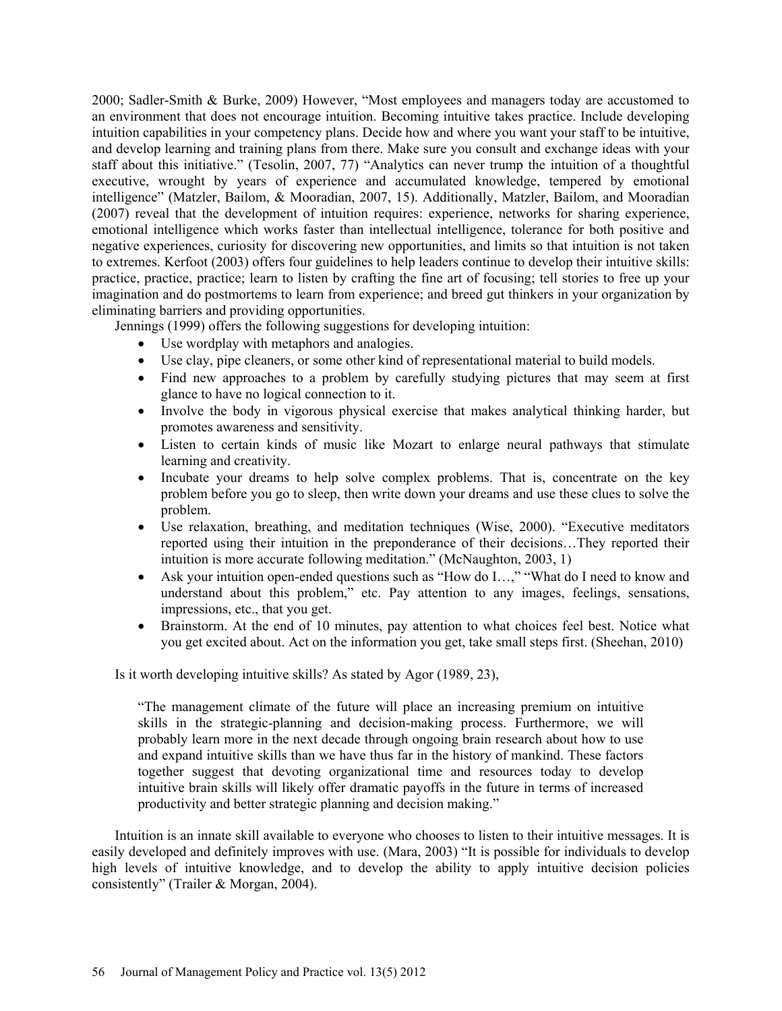2000; Sadler-Smith & Burke, 2009) However, "Most employees and managers today are accustomed to an environment that does not encourage intuition. Becoming intuitive takes practice. Include developing intuition capabilities in your competency plans. Decide how and where you want your staff to be intuitive, and develop learning and training plans from there. Make sure you consult and exchange ideas with your staff about this initiative." (Tesolin, 2007, 77) "Analytics can never trump the intuition of a thoughtful executive, wrought by years of experience and accumulated knowledge, tempered by emotional intelligence" (Matzler, Bailom, & Mooradian, 2007, 15). Additionally, Matzler, Bailom, and Mooradian (2007) reveal that the development of intuition requires: experience, networks for sharing experience, emotional intelligence which works faster than intellectual intelligence, tolerance for both positive and negative experiences, curiosity for discovering new opportunities, and limits so that intuition is not taken to extremes. Kerfoot (2003) offers four guidelines to help leaders continue to develop their intuitive skills: practice, practice, practice; learn to listen by crafting the fine art of focusing; tell stories to free up your imagination and do postmortems to learn from experience; and breed gut thinkers in your organization by eliminating barriers and providing opportunities.

Jennings (1999) offers the following suggestions for developing intuition:

- Use wordplay with metaphors and analogies.
- Use clay, pipe cleaners, or some other kind of representational material to build models.
- Find new approaches to a problem by carefully studying pictures that may seem at first glance to have no logical connection to it.
- Involve the body in vigorous physical exercise that makes analytical thinking harder, but promotes awareness and sensitivity.
- Listen to certain kinds of music like Mozart to enlarge neural pathways that stimulate learning and creativity.
- Incubate your dreams to help solve complex problems. That is, concentrate on the key problem before you go to sleep, then write down your dreams and use these clues to solve the problem.
- Use relaxation, breathing, and meditation techniques (Wise, 2000). "Executive meditators reported using their intuition in the preponderance of their decisions…They reported their intuition is more accurate following meditation." (McNaughton, 2003, 1)
- Ask your intuition open-ended questions such as "How do I…," "What do I need to know and understand about this problem," etc. Pay attention to any images, feelings, sensations, impressions, etc., that you get.
- Brainstorm. At the end of 10 minutes, pay attention to what choices feel best. Notice what you get excited about. Act on the information you get, take small steps first. (Sheehan, 2010)

Is it worth developing intuitive skills? As stated by Agor (1989, 23),

"The management climate of the future will place an increasing premium on intuitive skills in the strategic-planning and decision-making process. Furthermore, we will probably learn more in the next decade through ongoing brain research about how to use and expand intuitive skills than we have thus far in the history of mankind. These factors together suggest that devoting organizational time and resources today to develop intuitive brain skills will likely offer dramatic payoffs in the future in terms of increased productivity and better strategic planning and decision making."

Intuition is an innate skill available to everyone who chooses to listen to their intuitive messages. It is easily developed and definitely improves with use. (Mara, 2003) "It is possible for individuals to develop high levels of intuitive knowledge, and to develop the ability to apply intuitive decision policies consistently" (Trailer & Morgan, 2004).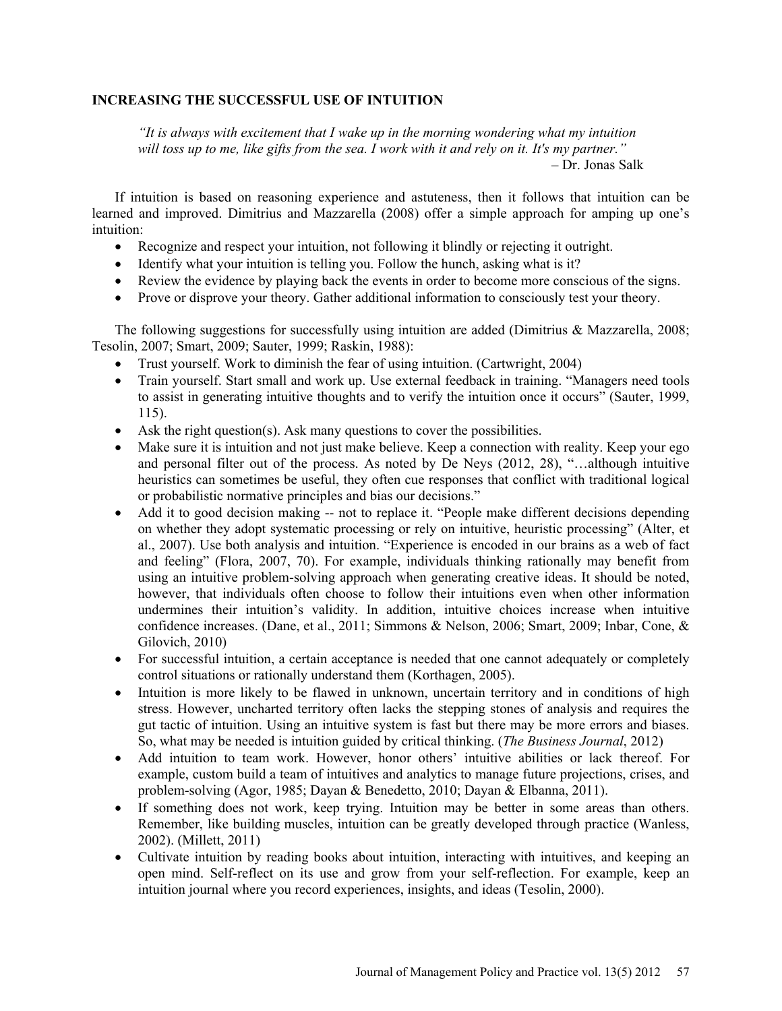### **INCREASING THE SUCCESSFUL USE OF INTUITION**

*"It is always with excitement that I wake up in the morning wondering what my intuition will toss up to me, like gifts from the sea. I work with it and rely on it. It's my partner."*  – Dr. Jonas Salk

If intuition is based on reasoning experience and astuteness, then it follows that intuition can be learned and improved. Dimitrius and Mazzarella (2008) offer a simple approach for amping up one's intuition:

- Recognize and respect your intuition, not following it blindly or rejecting it outright.
- Identify what your intuition is telling you. Follow the hunch, asking what is it?
- Review the evidence by playing back the events in order to become more conscious of the signs.
- Prove or disprove your theory. Gather additional information to consciously test your theory.

The following suggestions for successfully using intuition are added (Dimitrius & Mazzarella, 2008; Tesolin, 2007; Smart, 2009; Sauter, 1999; Raskin, 1988):

- Trust yourself. Work to diminish the fear of using intuition. (Cartwright, 2004)
- Train yourself. Start small and work up. Use external feedback in training. "Managers need tools to assist in generating intuitive thoughts and to verify the intuition once it occurs" (Sauter, 1999, 115).
- Ask the right question(s). Ask many questions to cover the possibilities.
- Make sure it is intuition and not just make believe. Keep a connection with reality. Keep your ego and personal filter out of the process. As noted by De Neys (2012, 28), "…although intuitive heuristics can sometimes be useful, they often cue responses that conflict with traditional logical or probabilistic normative principles and bias our decisions."
- Add it to good decision making -- not to replace it. "People make different decisions depending on whether they adopt systematic processing or rely on intuitive, heuristic processing" (Alter, et al., 2007). Use both analysis and intuition. "Experience is encoded in our brains as a web of fact and feeling" (Flora, 2007, 70). For example, individuals thinking rationally may benefit from using an intuitive problem-solving approach when generating creative ideas. It should be noted, however, that individuals often choose to follow their intuitions even when other information undermines their intuition's validity. In addition, intuitive choices increase when intuitive confidence increases. (Dane, et al., 2011; Simmons & Nelson, 2006; Smart, 2009; Inbar, Cone, & Gilovich, 2010)
- For successful intuition, a certain acceptance is needed that one cannot adequately or completely control situations or rationally understand them (Korthagen, 2005).
- Intuition is more likely to be flawed in unknown, uncertain territory and in conditions of high stress. However, uncharted territory often lacks the stepping stones of analysis and requires the gut tactic of intuition. Using an intuitive system is fast but there may be more errors and biases. So, what may be needed is intuition guided by critical thinking. (*The Business Journal*, 2012)
- Add intuition to team work. However, honor others' intuitive abilities or lack thereof. For example, custom build a team of intuitives and analytics to manage future projections, crises, and problem-solving (Agor, 1985; Dayan & Benedetto, 2010; Dayan & Elbanna, 2011).
- If something does not work, keep trying. Intuition may be better in some areas than others. Remember, like building muscles, intuition can be greatly developed through practice (Wanless, 2002). (Millett, 2011)
- Cultivate intuition by reading books about intuition, interacting with intuitives, and keeping an open mind. Self-reflect on its use and grow from your self-reflection. For example, keep an intuition journal where you record experiences, insights, and ideas (Tesolin, 2000).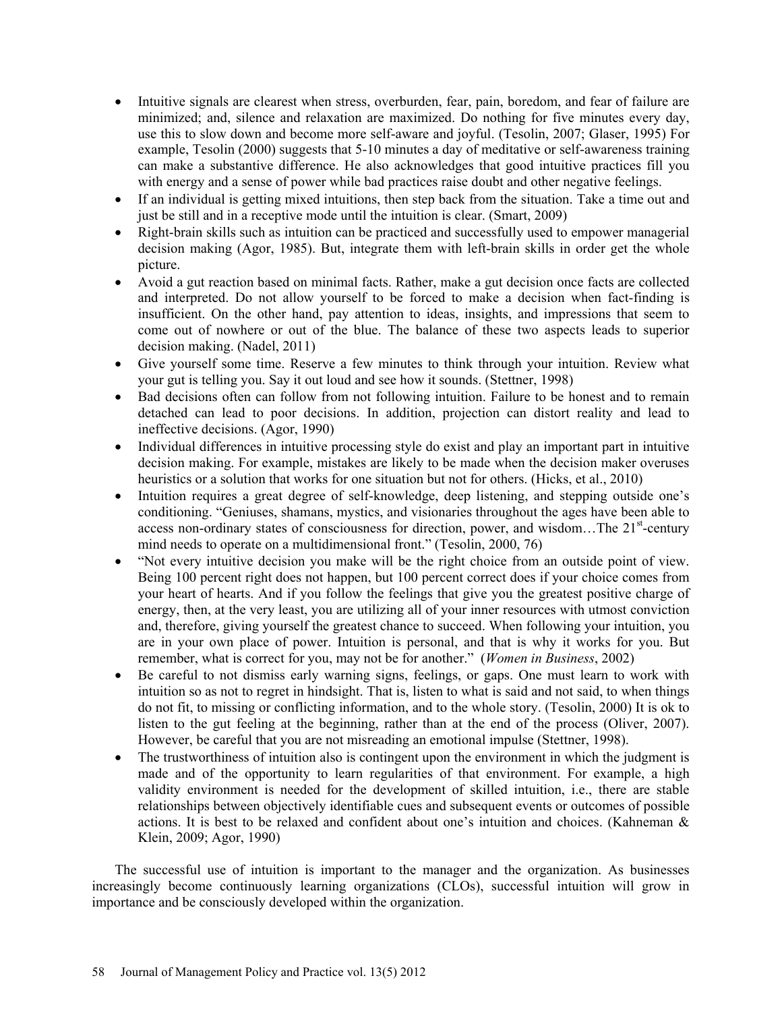- Intuitive signals are clearest when stress, overburden, fear, pain, boredom, and fear of failure are minimized; and, silence and relaxation are maximized. Do nothing for five minutes every day, use this to slow down and become more self-aware and joyful. (Tesolin, 2007; Glaser, 1995) For example, Tesolin (2000) suggests that 5-10 minutes a day of meditative or self-awareness training can make a substantive difference. He also acknowledges that good intuitive practices fill you with energy and a sense of power while bad practices raise doubt and other negative feelings.
- If an individual is getting mixed intuitions, then step back from the situation. Take a time out and just be still and in a receptive mode until the intuition is clear. (Smart, 2009)
- Right-brain skills such as intuition can be practiced and successfully used to empower managerial decision making (Agor, 1985). But, integrate them with left-brain skills in order get the whole picture.
- Avoid a gut reaction based on minimal facts. Rather, make a gut decision once facts are collected and interpreted. Do not allow yourself to be forced to make a decision when fact-finding is insufficient. On the other hand, pay attention to ideas, insights, and impressions that seem to come out of nowhere or out of the blue. The balance of these two aspects leads to superior decision making. (Nadel, 2011)
- Give yourself some time. Reserve a few minutes to think through your intuition. Review what your gut is telling you. Say it out loud and see how it sounds. (Stettner, 1998)
- Bad decisions often can follow from not following intuition. Failure to be honest and to remain detached can lead to poor decisions. In addition, projection can distort reality and lead to ineffective decisions. (Agor, 1990)
- Individual differences in intuitive processing style do exist and play an important part in intuitive decision making. For example, mistakes are likely to be made when the decision maker overuses heuristics or a solution that works for one situation but not for others. (Hicks, et al., 2010)
- Intuition requires a great degree of self-knowledge, deep listening, and stepping outside one's conditioning. "Geniuses, shamans, mystics, and visionaries throughout the ages have been able to access non-ordinary states of consciousness for direction, power, and wisdom...The 21<sup>st</sup>-century mind needs to operate on a multidimensional front." (Tesolin, 2000, 76)
- "Not every intuitive decision you make will be the right choice from an outside point of view. Being 100 percent right does not happen, but 100 percent correct does if your choice comes from your heart of hearts. And if you follow the feelings that give you the greatest positive charge of energy, then, at the very least, you are utilizing all of your inner resources with utmost conviction and, therefore, giving yourself the greatest chance to succeed. When following your intuition, you are in your own place of power. Intuition is personal, and that is why it works for you. But remember, what is correct for you, may not be for another." (*Women in Business*, 2002)
- Be careful to not dismiss early warning signs, feelings, or gaps. One must learn to work with intuition so as not to regret in hindsight. That is, listen to what is said and not said, to when things do not fit, to missing or conflicting information, and to the whole story. (Tesolin, 2000) It is ok to listen to the gut feeling at the beginning, rather than at the end of the process (Oliver, 2007). However, be careful that you are not misreading an emotional impulse (Stettner, 1998).
- The trustworthiness of intuition also is contingent upon the environment in which the judgment is made and of the opportunity to learn regularities of that environment. For example, a high validity environment is needed for the development of skilled intuition, i.e., there are stable relationships between objectively identifiable cues and subsequent events or outcomes of possible actions. It is best to be relaxed and confident about one's intuition and choices. (Kahneman & Klein, 2009; Agor, 1990)

The successful use of intuition is important to the manager and the organization. As businesses increasingly become continuously learning organizations (CLOs), successful intuition will grow in importance and be consciously developed within the organization.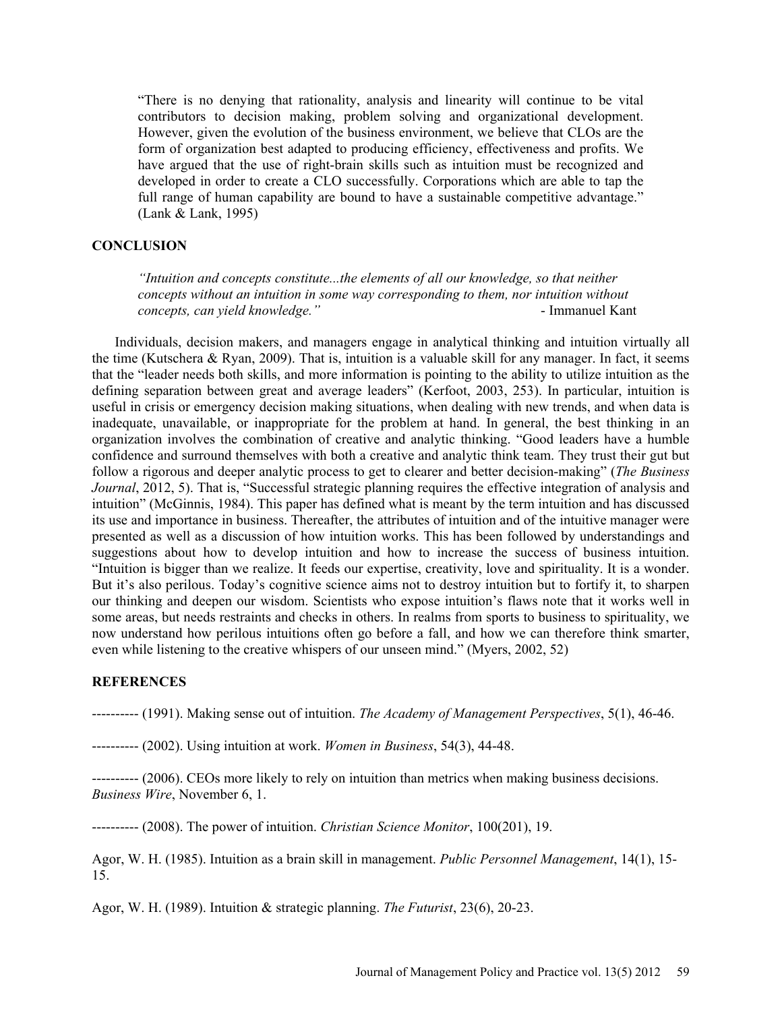"There is no denying that rationality, analysis and linearity will continue to be vital contributors to decision making, problem solving and organizational development. However, given the evolution of the business environment, we believe that CLOs are the form of organization best adapted to producing efficiency, effectiveness and profits. We have argued that the use of right-brain skills such as intuition must be recognized and developed in order to create a CLO successfully. Corporations which are able to tap the full range of human capability are bound to have a sustainable competitive advantage." (Lank & Lank, 1995)

### **CONCLUSION**

*"Intuition and concepts constitute...the elements of all our knowledge, so that neither concepts without an intuition in some way corresponding to them, nor intuition without concepts, can yield knowledge."* - Immanuel Kant

Individuals, decision makers, and managers engage in analytical thinking and intuition virtually all the time (Kutschera & Ryan, 2009). That is, intuition is a valuable skill for any manager. In fact, it seems that the "leader needs both skills, and more information is pointing to the ability to utilize intuition as the defining separation between great and average leaders" (Kerfoot, 2003, 253). In particular, intuition is useful in crisis or emergency decision making situations, when dealing with new trends, and when data is inadequate, unavailable, or inappropriate for the problem at hand. In general, the best thinking in an organization involves the combination of creative and analytic thinking. "Good leaders have a humble confidence and surround themselves with both a creative and analytic think team. They trust their gut but follow a rigorous and deeper analytic process to get to clearer and better decision-making" (*The Business Journal*, 2012, 5). That is, "Successful strategic planning requires the effective integration of analysis and intuition" (McGinnis, 1984). This paper has defined what is meant by the term intuition and has discussed its use and importance in business. Thereafter, the attributes of intuition and of the intuitive manager were presented as well as a discussion of how intuition works. This has been followed by understandings and suggestions about how to develop intuition and how to increase the success of business intuition. "Intuition is bigger than we realize. It feeds our expertise, creativity, love and spirituality. It is a wonder. But it's also perilous. Today's cognitive science aims not to destroy intuition but to fortify it, to sharpen our thinking and deepen our wisdom. Scientists who expose intuition's flaws note that it works well in some areas, but needs restraints and checks in others. In realms from sports to business to spirituality, we now understand how perilous intuitions often go before a fall, and how we can therefore think smarter, even while listening to the creative whispers of our unseen mind." (Myers, 2002, 52)

#### **REFERENCES**

---------- (1991). Making sense out of intuition. *The Academy of Management Perspectives*, 5(1), 46-46.

---------- (2002). Using intuition at work. *Women in Business*, 54(3), 44-48.

---------- (2006). CEOs more likely to rely on intuition than metrics when making business decisions. *Business Wire*, November 6, 1.

---------- (2008). The power of intuition. *Christian Science Monitor*, 100(201), 19.

Agor, W. H. (1985). Intuition as a brain skill in management. *Public Personnel Management*, 14(1), 15- 15.

Agor, W. H. (1989). Intuition & strategic planning. *The Futurist*, 23(6), 20-23.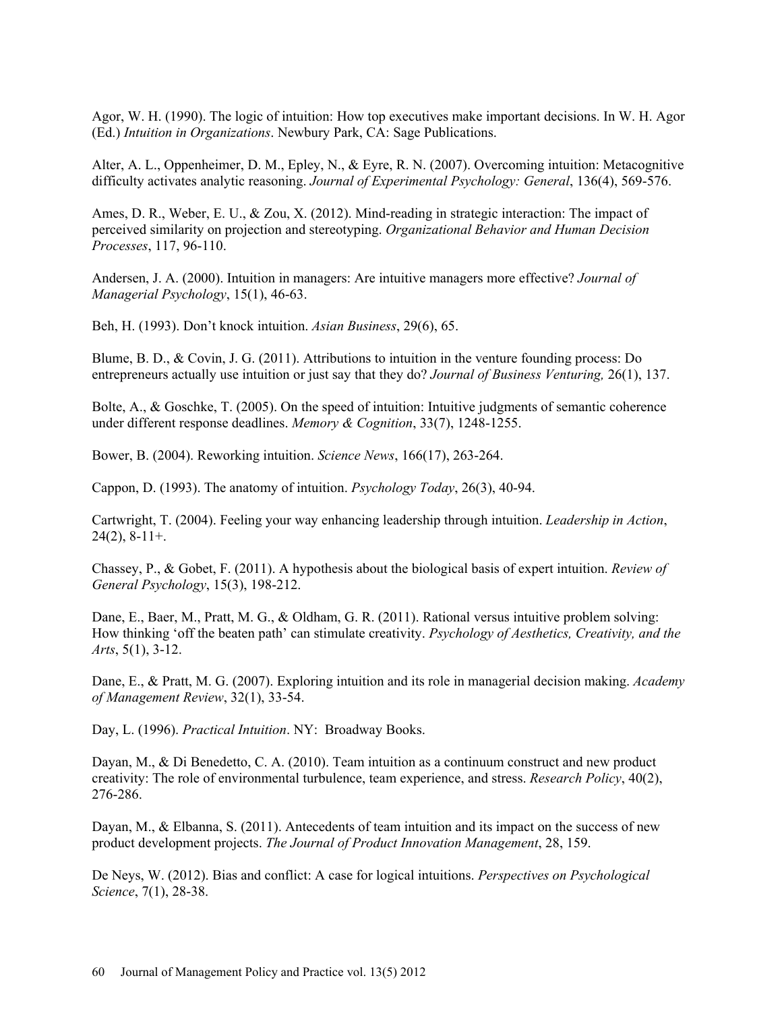Agor, W. H. (1990). The logic of intuition: How top executives make important decisions. In W. H. Agor (Ed.) *Intuition in Organizations*. Newbury Park, CA: Sage Publications.

Alter, A. L., Oppenheimer, D. M., Epley, N., & Eyre, R. N. (2007). Overcoming intuition: Metacognitive difficulty activates analytic reasoning. *Journal of Experimental Psychology: General*, 136(4), 569-576.

Ames, D. R., Weber, E. U., & Zou, X. (2012). Mind-reading in strategic interaction: The impact of perceived similarity on projection and stereotyping. *Organizational Behavior and Human Decision Processes*, 117, 96-110.

Andersen, J. A. (2000). Intuition in managers: Are intuitive managers more effective? *Journal of Managerial Psychology*, 15(1), 46-63.

Beh, H. (1993). Don't knock intuition. *Asian Business*, 29(6), 65.

Blume, B. D., & Covin, J. G. (2011). Attributions to intuition in the venture founding process: Do entrepreneurs actually use intuition or just say that they do? *Journal of Business Venturing,* 26(1), 137.

Bolte, A., & Goschke, T. (2005). On the speed of intuition: Intuitive judgments of semantic coherence under different response deadlines. *Memory & Cognition*, 33(7), 1248-1255.

Bower, B. (2004). Reworking intuition. *Science News*, 166(17), 263-264.

Cappon, D. (1993). The anatomy of intuition. *Psychology Today*, 26(3), 40-94.

Cartwright, T. (2004). Feeling your way enhancing leadership through intuition. *Leadership in Action*,  $24(2)$ ,  $8-11+$ .

Chassey, P., & Gobet, F. (2011). A hypothesis about the biological basis of expert intuition. *Review of General Psychology*, 15(3), 198-212.

Dane, E., Baer, M., Pratt, M. G., & Oldham, G. R. (2011). Rational versus intuitive problem solving: How thinking 'off the beaten path' can stimulate creativity. *Psychology of Aesthetics, Creativity, and the Arts*, 5(1), 3-12.

Dane, E., & Pratt, M. G. (2007). Exploring intuition and its role in managerial decision making. *Academy of Management Review*, 32(1), 33-54.

Day, L. (1996). *Practical Intuition*. NY: Broadway Books.

Dayan, M., & Di Benedetto, C. A. (2010). Team intuition as a continuum construct and new product creativity: The role of environmental turbulence, team experience, and stress. *Research Policy*, 40(2), 276-286.

Dayan, M., & Elbanna, S. (2011). Antecedents of team intuition and its impact on the success of new product development projects. *The Journal of Product Innovation Management*, 28, 159.

De Neys, W. (2012). Bias and conflict: A case for logical intuitions. *Perspectives on Psychological Science*, 7(1), 28-38.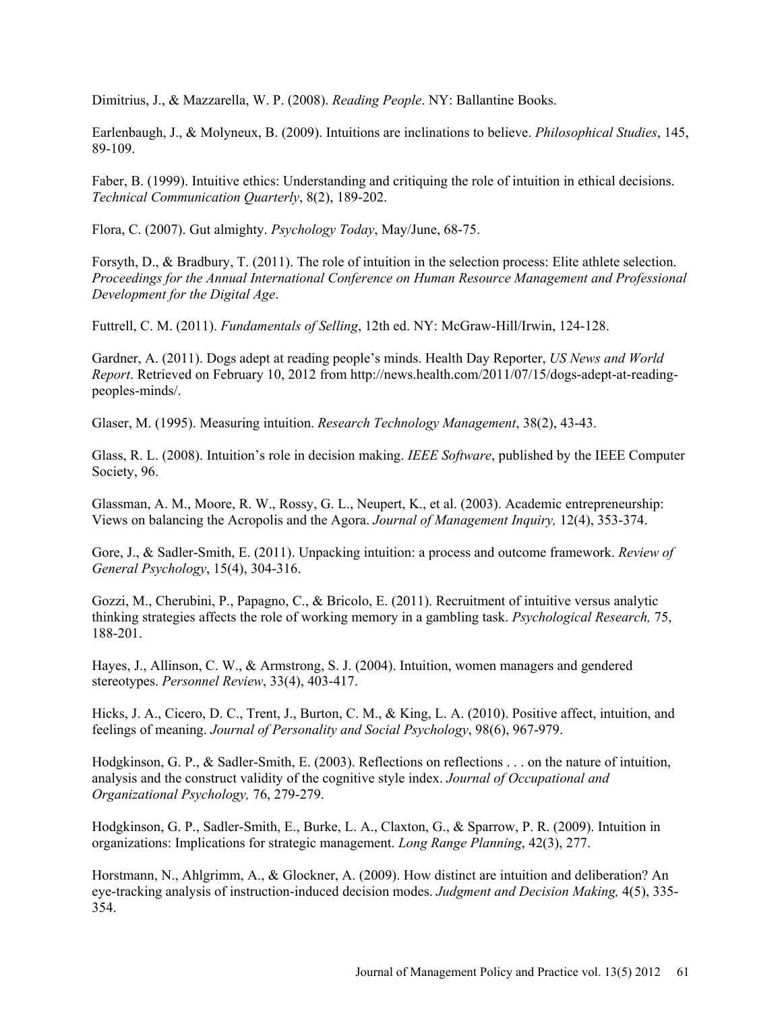Dimitrius, J., & Mazzarella, W. P. (2008). *Reading People*. NY: Ballantine Books.

Earlenbaugh, J., & Molyneux, B. (2009). Intuitions are inclinations to believe. *Philosophical Studies*, 145, 89-109.

Faber, B. (1999). Intuitive ethics: Understanding and critiquing the role of intuition in ethical decisions. *Technical Communication Quarterly*, 8(2), 189-202.

Flora, C. (2007). Gut almighty. *Psychology Today*, May/June, 68-75.

Forsyth, D., & Bradbury, T. (2011). The role of intuition in the selection process: Elite athlete selection. *Proceedings for the Annual International Conference on Human Resource Management and Professional Development for the Digital Age*.

Futtrell, C. M. (2011). *Fundamentals of Selling*, 12th ed. NY: McGraw-Hill/Irwin, 124-128.

Gardner, A. (2011). Dogs adept at reading people's minds. Health Day Reporter, *US News and World Report*. Retrieved on February 10, 2012 from http://news.health.com/2011/07/15/dogs-adept-at-readingpeoples-minds/.

Glaser, M. (1995). Measuring intuition. *Research Technology Management*, 38(2), 43-43.

Glass, R. L. (2008). Intuition's role in decision making. *IEEE Software*, published by the IEEE Computer Society, 96.

Glassman, A. M., Moore, R. W., Rossy, G. L., Neupert, K., et al. (2003). Academic entrepreneurship: Views on balancing the Acropolis and the Agora. *Journal of Management Inquiry,* 12(4), 353-374.

Gore, J., & Sadler-Smith, E. (2011). Unpacking intuition: a process and outcome framework. *Review of General Psychology*, 15(4), 304-316.

Gozzi, M., Cherubini, P., Papagno, C., & Bricolo, E. (2011). Recruitment of intuitive versus analytic thinking strategies affects the role of working memory in a gambling task. *Psychological Research,* 75, 188-201.

Hayes, J., Allinson, C. W., & Armstrong, S. J. (2004). Intuition, women managers and gendered stereotypes. *Personnel Review*, 33(4), 403-417.

Hicks, J. A., Cicero, D. C., Trent, J., Burton, C. M., & King, L. A. (2010). Positive affect, intuition, and feelings of meaning. *Journal of Personality and Social Psychology*, 98(6), 967-979.

Hodgkinson, G. P., & Sadler-Smith, E. (2003). Reflections on reflections . . . on the nature of intuition, analysis and the construct validity of the cognitive style index. *Journal of Occupational and Organizational Psychology,* 76, 279-279.

Hodgkinson, G. P., Sadler-Smith, E., Burke, L. A., Claxton, G., & Sparrow, P. R. (2009). Intuition in organizations: Implications for strategic management. *Long Range Planning*, 42(3), 277.

Horstmann, N., Ahlgrimm, A., & Glockner, A. (2009). How distinct are intuition and deliberation? An eye-tracking analysis of instruction-induced decision modes. *Judgment and Decision Making,* 4(5), 335- 354.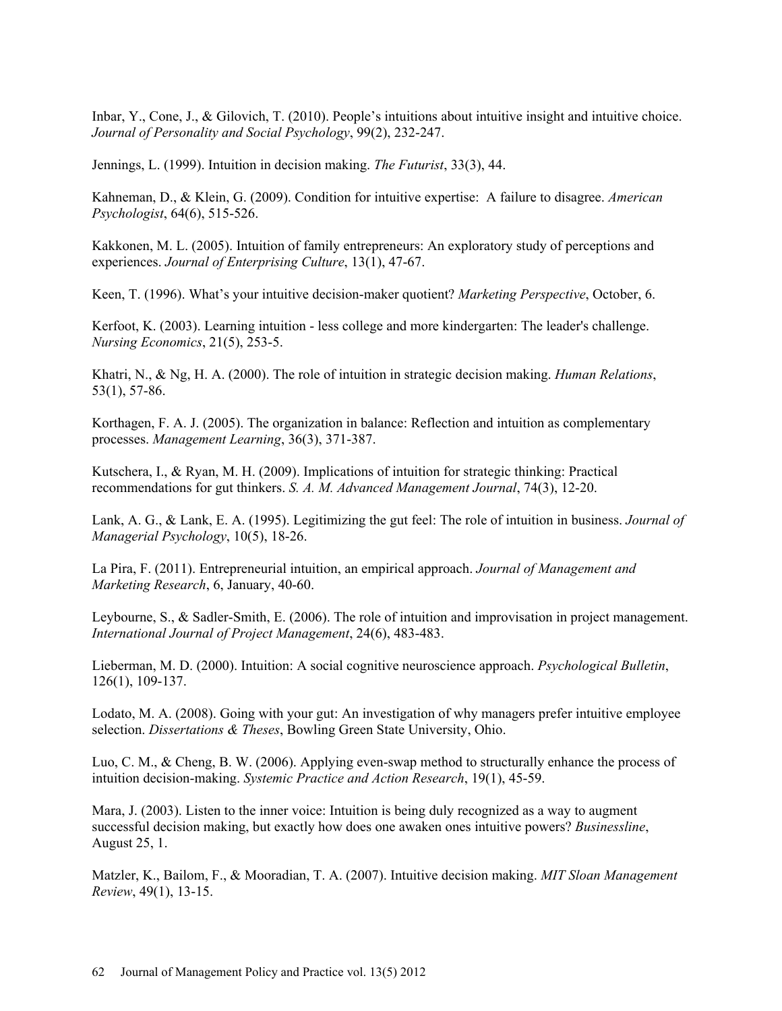Inbar, Y., Cone, J., & Gilovich, T. (2010). People's intuitions about intuitive insight and intuitive choice. *Journal of Personality and Social Psychology*, 99(2), 232-247.

Jennings, L. (1999). Intuition in decision making. *The Futurist*, 33(3), 44.

Kahneman, D., & Klein, G. (2009). Condition for intuitive expertise: A failure to disagree. *American Psychologist*, 64(6), 515-526.

Kakkonen, M. L. (2005). Intuition of family entrepreneurs: An exploratory study of perceptions and experiences. *Journal of Enterprising Culture*, 13(1), 47-67.

Keen, T. (1996). What's your intuitive decision-maker quotient? *Marketing Perspective*, October, 6.

Kerfoot, K. (2003). Learning intuition - less college and more kindergarten: The leader's challenge. *Nursing Economics*, 21(5), 253-5.

Khatri, N., & Ng, H. A. (2000). The role of intuition in strategic decision making. *Human Relations*, 53(1), 57-86.

Korthagen, F. A. J. (2005). The organization in balance: Reflection and intuition as complementary processes. *Management Learning*, 36(3), 371-387.

Kutschera, I., & Ryan, M. H. (2009). Implications of intuition for strategic thinking: Practical recommendations for gut thinkers. *S. A. M. Advanced Management Journal*, 74(3), 12-20.

Lank, A. G., & Lank, E. A. (1995). Legitimizing the gut feel: The role of intuition in business. *Journal of Managerial Psychology*, 10(5), 18-26.

La Pira, F. (2011). Entrepreneurial intuition, an empirical approach. *Journal of Management and Marketing Research*, 6, January, 40-60.

Leybourne, S., & Sadler-Smith, E. (2006). The role of intuition and improvisation in project management. *International Journal of Project Management*, 24(6), 483-483.

Lieberman, M. D. (2000). Intuition: A social cognitive neuroscience approach. *Psychological Bulletin*, 126(1), 109-137.

Lodato, M. A. (2008). Going with your gut: An investigation of why managers prefer intuitive employee selection. *Dissertations & Theses*, Bowling Green State University, Ohio.

Luo, C. M., & Cheng, B. W. (2006). Applying even-swap method to structurally enhance the process of intuition decision-making. *Systemic Practice and Action Research*, 19(1), 45-59.

Mara, J. (2003). Listen to the inner voice: Intuition is being duly recognized as a way to augment successful decision making, but exactly how does one awaken ones intuitive powers? *Businessline*, August 25, 1.

Matzler, K., Bailom, F., & Mooradian, T. A. (2007). Intuitive decision making. *MIT Sloan Management Review*, 49(1), 13-15.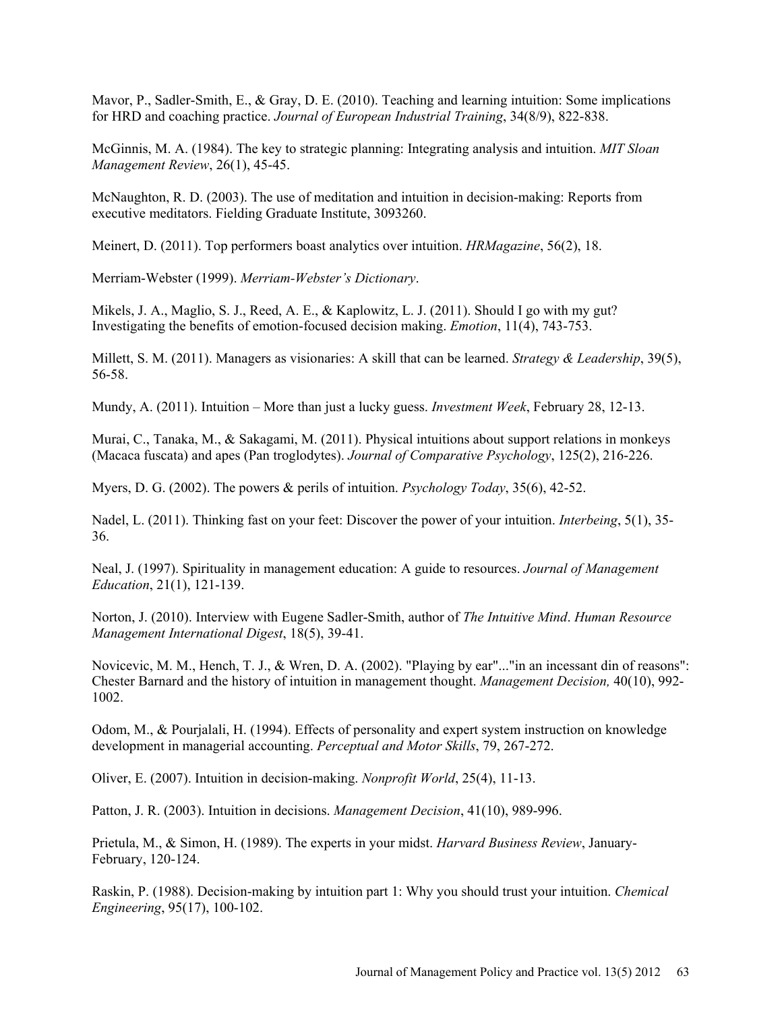Mavor, P., Sadler-Smith, E., & Gray, D. E. (2010). Teaching and learning intuition: Some implications for HRD and coaching practice. *Journal of European Industrial Training*, 34(8/9), 822-838.

McGinnis, M. A. (1984). The key to strategic planning: Integrating analysis and intuition. *MIT Sloan Management Review*, 26(1), 45-45.

McNaughton, R. D. (2003). The use of meditation and intuition in decision-making: Reports from executive meditators. Fielding Graduate Institute, 3093260.

Meinert, D. (2011). Top performers boast analytics over intuition. *HRMagazine*, 56(2), 18.

Merriam-Webster (1999). *Merriam-Webster's Dictionary*.

Mikels, J. A., Maglio, S. J., Reed, A. E., & Kaplowitz, L. J. (2011). Should I go with my gut? Investigating the benefits of emotion-focused decision making. *Emotion*, 11(4), 743-753.

Millett, S. M. (2011). Managers as visionaries: A skill that can be learned. *Strategy & Leadership*, 39(5), 56-58.

Mundy, A. (2011). Intuition – More than just a lucky guess. *Investment Week*, February 28, 12-13.

Murai, C., Tanaka, M., & Sakagami, M. (2011). Physical intuitions about support relations in monkeys (Macaca fuscata) and apes (Pan troglodytes). *Journal of Comparative Psychology*, 125(2), 216-226.

Myers, D. G. (2002). The powers & perils of intuition. *Psychology Today*, 35(6), 42-52.

Nadel, L. (2011). Thinking fast on your feet: Discover the power of your intuition. *Interbeing*, 5(1), 35- 36.

Neal, J. (1997). Spirituality in management education: A guide to resources. *Journal of Management Education*, 21(1), 121-139.

Norton, J. (2010). Interview with Eugene Sadler-Smith, author of *The Intuitive Mind*. *Human Resource Management International Digest*, 18(5), 39-41.

Novicevic, M. M., Hench, T. J., & Wren, D. A. (2002). "Playing by ear"..."in an incessant din of reasons": Chester Barnard and the history of intuition in management thought. *Management Decision,* 40(10), 992- 1002.

Odom, M., & Pourjalali, H. (1994). Effects of personality and expert system instruction on knowledge development in managerial accounting. *Perceptual and Motor Skills*, 79, 267-272.

Oliver, E. (2007). Intuition in decision-making. *Nonprofit World*, 25(4), 11-13.

Patton, J. R. (2003). Intuition in decisions. *Management Decision*, 41(10), 989-996.

Prietula, M., & Simon, H. (1989). The experts in your midst. *Harvard Business Review*, January-February, 120-124.

Raskin, P. (1988). Decision-making by intuition part 1: Why you should trust your intuition. *Chemical Engineering*, 95(17), 100-102.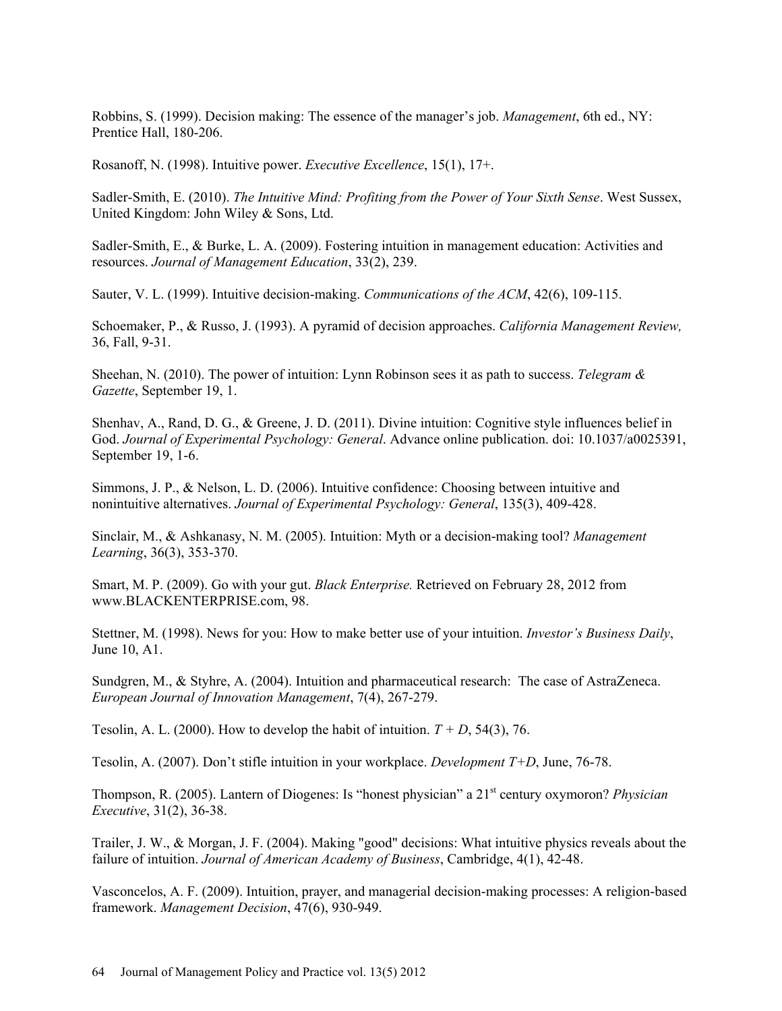Robbins, S. (1999). Decision making: The essence of the manager's job. *Management*, 6th ed., NY: Prentice Hall, 180-206.

Rosanoff, N. (1998). Intuitive power. *Executive Excellence*, 15(1), 17+.

Sadler-Smith, E. (2010). *The Intuitive Mind: Profiting from the Power of Your Sixth Sense*. West Sussex, United Kingdom: John Wiley & Sons, Ltd.

Sadler-Smith, E., & Burke, L. A. (2009). Fostering intuition in management education: Activities and resources. *Journal of Management Education*, 33(2), 239.

Sauter, V. L. (1999). Intuitive decision-making. *Communications of the ACM*, 42(6), 109-115.

Schoemaker, P., & Russo, J. (1993). A pyramid of decision approaches. *California Management Review,* 36, Fall, 9-31.

Sheehan, N. (2010). The power of intuition: Lynn Robinson sees it as path to success. *Telegram & Gazette*, September 19, 1.

Shenhav, A., Rand, D. G., & Greene, J. D. (2011). Divine intuition: Cognitive style influences belief in God. *Journal of Experimental Psychology: General*. Advance online publication. doi: 10.1037/a0025391, September 19, 1-6.

Simmons, J. P., & Nelson, L. D. (2006). Intuitive confidence: Choosing between intuitive and nonintuitive alternatives. *Journal of Experimental Psychology: General*, 135(3), 409-428.

Sinclair, M., & Ashkanasy, N. M. (2005). Intuition: Myth or a decision-making tool? *Management Learning*, 36(3), 353-370.

Smart, M. P. (2009). Go with your gut. *Black Enterprise.* Retrieved on February 28, 2012 from www.BLACKENTERPRISE.com, 98.

Stettner, M. (1998). News for you: How to make better use of your intuition. *Investor's Business Daily*, June 10, A1.

Sundgren, M., & Styhre, A. (2004). Intuition and pharmaceutical research: The case of AstraZeneca. *European Journal of Innovation Management*, 7(4), 267-279.

Tesolin, A. L. (2000). How to develop the habit of intuition.  $T + D$ , 54(3), 76.

Tesolin, A. (2007). Don't stifle intuition in your workplace. *Development T+D*, June, 76-78.

Thompson, R. (2005). Lantern of Diogenes: Is "honest physician" a 21st century oxymoron? *Physician Executive*, 31(2), 36-38.

Trailer, J. W., & Morgan, J. F. (2004). Making "good" decisions: What intuitive physics reveals about the failure of intuition. *Journal of American Academy of Business*, Cambridge, 4(1), 42-48.

Vasconcelos, A. F. (2009). Intuition, prayer, and managerial decision-making processes: A religion-based framework. *Management Decision*, 47(6), 930-949.